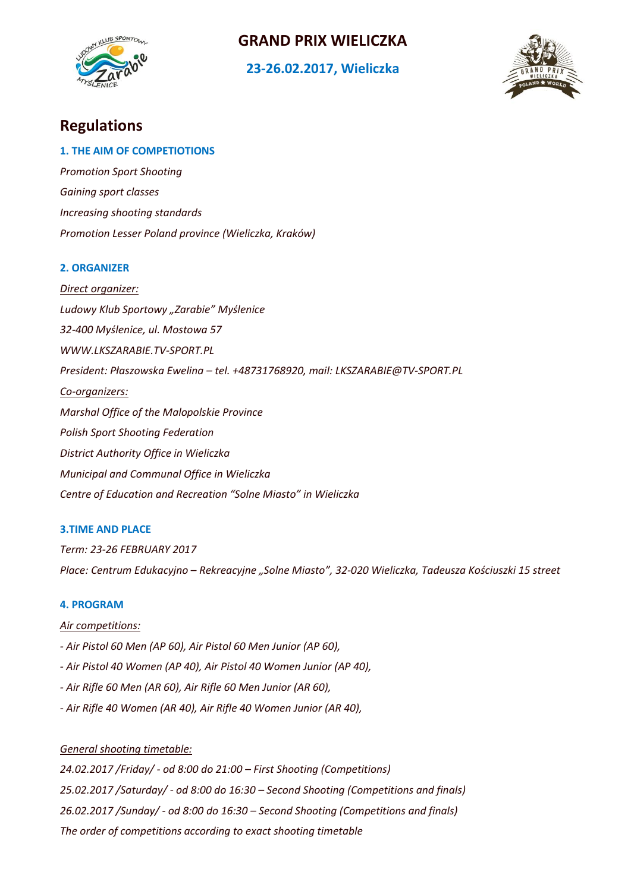

## **GRAND PRIX WIELICZKA**

## **23-26.02.2017, Wieliczka**



# **Regulations**

## **1. THE AIM OF COMPETIOTIONS**

*Promotion Sport Shooting Gaining sport classes Increasing shooting standards Promotion Lesser Poland province (Wieliczka, Kraków)*

## **2. ORGANIZER**

*Direct organizer: Ludowy Klub Sportowy "Zarabie" Myślenice 32-400 Myślenice, ul. Mostowa 57 WWW.LKSZARABIE.TV-SPORT.PL President: Płaszowska Ewelina – tel. +48731768920, mail: LKSZARABIE@TV-SPORT.PL Co-organizers: Marshal Office of the Malopolskie Province Polish Sport Shooting Federation District Authority Office in Wieliczka Municipal and Communal Office in Wieliczka Centre of Education and Recreation "Solne Miasto" in Wieliczka*

## **3.TIME AND PLACE**

*Term: 23-26 FEBRUARY 2017 Place: Centrum Edukacyjno – Rekreacyjne "Solne Miasto", 32-020 Wieliczka, Tadeusza Kościuszki 15 street*

## **4. PROGRAM**

## *Air competitions:*

- *- Air Pistol 60 Men (AP 60), Air Pistol 60 Men Junior (AP 60),*
- *- Air Pistol 40 Women (AP 40), Air Pistol 40 Women Junior (AP 40),*
- *- Air Rifle 60 Men (AR 60), Air Rifle 60 Men Junior (AR 60),*
- *- Air Rifle 40 Women (AR 40), Air Rifle 40 Women Junior (AR 40),*

## *General shooting timetable:*

*24.02.2017 /Friday/ - od 8:00 do 21:00 – First Shooting (Competitions) 25.02.2017 /Saturday/ - od 8:00 do 16:30 – Second Shooting (Competitions and finals) 26.02.2017 /Sunday/ - od 8:00 do 16:30 – Second Shooting (Competitions and finals) The order of competitions according to exact shooting timetable*